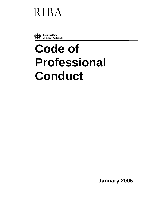# **RIBA**



# **Code of Professional Conduct**

**January 2005**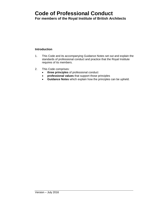## **Code of Professional Conduct**

**For members of the Royal Institute of British Architects**

#### **Introduction**

- 1. This Code and its accompanying Guidance Notes set out and explain the standards of professional conduct and practice that the Royal Institute requires of its members.
- 2. This Code comprises:
	- **three principles** of professional conduct
	- **professional values** that support those principles
	- **Guidance Notes** which explain how the principles can be upheld.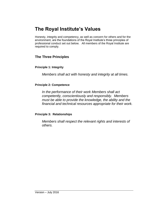### **The Royal Institute's Values**

Honesty, integrity and competency, as well as concern for others and for the environment, are the foundations of the Royal Institute's three principles of professional conduct set out below. All members of the Royal Institute are required to comply.

#### **The Three Principles**

#### **Principle 1: Integrity**

*Members shall act with honesty and integrity at all times.* 

#### **Principle 2: Competence**

*In the performance of their work Members shall act competently, conscientiously and responsibly. Members must be able to provide the knowledge, the ability and the financial and technical resources appropriate for their work.* 

#### **Principle 3: Relationships**

*Members shall respect the relevant rights and interests of others.*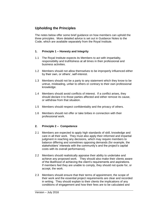#### **Upholding the Principles**

The notes below offer some brief guidance on how members can uphold the three principles. More detailed advice is set out in Guidance Notes to the Code, which are available separately from the Royal Institute.

#### **1. Principle 1 – Honesty and Integrity**

- 1.1 The Royal Institute expects its Members to act with impartiality, responsibility and truthfulness at all times in their professional and business activities.
- 1.2 Members should not allow themselves to be improperly influenced either by their own, or others', self-interest.
- 1.3 Members should not be a party to any statement which they know to be untrue, misleading, unfair to others or contrary to their own professional knowledge.
- 1.4 Members should avoid conflicts of interest. If a conflict arises, they should declare it to those parties affected and either remove its cause, or withdraw from that situation.
- 1.5 Members should respect confidentiality and the privacy of others.
- 1.6 Members should not offer or take bribes in connection with their professional work.

#### **2. Principle 2 – Competence**

- 2.1 Members are expected to apply high standards of skill, knowledge and care in all their work. They must also apply their informed and impartial judgment in reaching any decisions, which may require members to balance differing and sometimes opposing demands (for example, the stakeholders' interests with the community's and the project's capital costs with its overall performance).
- 2.2 Members should realistically appraise their ability to undertake and achieve any proposed work. They should also make their clients aware of the likelihood of achieving the client's requirements and aspirations. If members feel they are unable to comply, they should not quote for, or accept, the work.
- 2.3 Members should ensure that their terms of appointment, the scope of their work and the essential project requirements are clear and recorded in writing. They should explain to their clients the implications of any conditions of engagement and how their fees are to be calculated and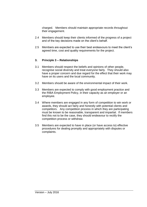charged. Members should maintain appropriate records throughout their engagement.

- 2.4 Members should keep their clients informed of the progress of a project and of the key decisions made on the client's behalf.
- 2.5 Members are expected to use their best endeavours to meet the client's agreed time, cost and quality requirements for the project.

#### **3. Principle 3 – Relationships**

- 3.1 Members should respect the beliefs and opinions of other people, recognise social diversity and treat everyone fairly. They should also have a proper concern and due regard for the effect that their work may have on its users and the local community.
- 3.2 Members should be aware of the environmental impact of their work.
- 3.3 Members are expected to comply with good employment practice and the RIBA Employment Policy, in their capacity as an employer or an employee.
- 3.4 Where members are engaged in any form of competition to win work or awards, they should act fairly and honestly with potential clients and competitors. Any competition process in which they are participating must be known to be reasonable, transparent and impartial. If members find this not to be the case, they should endeavour to rectify the competition process or withdraw.
- 3.5 Members are expected to have in place (or have access to) effective procedures for dealing promptly and appropriately with disputes or complaints.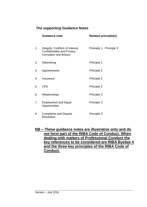#### **The supporting Guidance Notes**

|    | <b>Guidance note</b>                                                                               | <b>Related principle(s)</b> |
|----|----------------------------------------------------------------------------------------------------|-----------------------------|
| 1. | Integrity, Conflicts of Interest,<br>Confidentiality and Privacy,<br><b>Corruption and Bribery</b> | Principle 1, Principle 3    |
| 2. | Advertising                                                                                        | Principle 1                 |
| 3. | Appointments                                                                                       | Principle 2                 |
| 4. | Insurance                                                                                          | Principle 2                 |
| 5. | <b>CPD</b>                                                                                         | Principle 2                 |
| 6. | Relationships                                                                                      | Principle 3                 |
| 7. | <b>Employment and Equal</b><br>Opportunities                                                       | Principle 3                 |
| 8. | <b>Complaints and Dispute</b><br><b>Resolution</b>                                                 | Principle 3                 |

**NB – These guidance notes are illustrative only and do not form part of the RIBA Code of Conduct. When dealing with matters of Professional Conduct the key references to be considered are RIBA Byelaw 4 and the three key principles of the RIBA Code of Conduct.**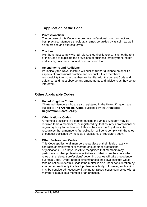#### **Application of the Code**

#### 1. **Professionalism**

The purpose of this Code is to promote professional good conduct and best practice. Members should at all times be guided by its spirit as well as its precise and express terms.

#### 2. **The Law**

Members must comply with all relevant legal obligations. It is not the remit of this Code to duplicate the provisions of business, employment, health and safety, environmental and discrimination law.

#### 3. **Amendments and Additions**

Periodically the Royal Institute will publish further guidance on specific aspects of professional practice and conduct. It is a member's responsibility to ensure that they are familiar with the current Code and guidance, and must observe any amendments and additions as they come into effect.

#### **Other Applicable Codes**

#### 1. **United Kingdom Codes**

Chartered Members who are also registered in the United Kingdom are subject to **The Architects' Code**, published by the **Architects Registration Board** (ARB)**.** 

#### 2. **Other National Codes**

A member practising in a country outside the United Kingdom may be required to be a member of, or registered by, that country's professional or regulatory body for architects. If this is the case the Royal Institute recognises that a member's first obligation will be to comply with the rules of conduct published by the local professional or regulatory body.

#### 3. **Other Professions' Codes**

This Code applies to all members regardless of their fields of activity, contracts of employment or membership of other professional organisations. The Royal Institute recognises that members may participate in other professional activities and that when they do so the rules of the relevant professions' governing bodies will take precedence over this Code. Under normal circumstances the Royal Institute would take no action under this Code if the matter is also under consideration by another, more directly involved, professional body. However, such action may be considered necessary if the matter raises issues connected with a member's status as a member or an architect.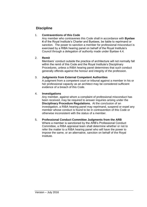#### **Discipline**

#### 1. **Contraventions of this Code**

Any member who contravenes this Code shall in accordance with **Byelaw 4** of the Royal Institute's Charter and Byelaws, be liable to reprimand or sanction. The power to sanction a member for professional misconduct is exercised by a RIBA hearing panel on behalf of the Royal Institute's Council through a delegation of authority made under Byelaw 4.4.

#### 2. **Remit**

Members' conduct outside the practice of architecture will not normally fall within the remit of this Code and the Royal Institute's Disciplinary Procedures, unless a RIBA hearing panel determines that such conduct generally offends against the honour and integrity of the profession.

#### 3. **Judgments from External Competent Authorities**

A judgment from a competent court or tribunal against a member in his or her professional capacity as an architect may be considered sufficient evidence of a breach of this Code.

#### 4. **Investigations**

Any member, against whom a complaint of professional misconduct has been received, may be required to answer inquiries arising under the **Disciplinary Procedure Regulations.** At the conclusion of an investigation, a RIBA hearing panel may reprimand, suspend or expel any member whose conduct is found to be in contravention of this Code or otherwise inconsistent with the status of a member.

#### 5. **Professional Conduct Committee Judgments from the ARB**

Where a member is sanctioned by the ARB's Professional Conduct Committee, a RIBA appraisal team shall determine whether or not to refer the matter to a RIBA hearing panel who will have the power to impose the same, or an alternative, sanction on behalf of the Royal Institute.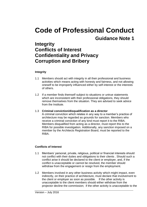### **Integrity Conflicts of Interest Confidentiality and Privacy Corruption and Bribery**

#### **Integrity**

- 1.1 Members should act with integrity in all their professional and business activities which means acting with honesty and fairness, and not allowing oneself to be improperly influenced either by self-interest or the interests of others.
- 1.2 If a member finds themself subject to situations or untrue statements which are inconsistent with their professional obligations, they should remove themselves from the situation. They are advised to seek advice from the Institute.

#### 1.3 **Criminal conviction/disqualification as a director**

A criminal conviction which relates in any way to a member's practice of architecture may be regarded as grounds for sanction. Members who receive a criminal conviction of any kind must report it to the RIBA. Members disqualified from acting as a director, must report this to the RIBA for possible investigation. Additionally, any sanction imposed on a member by the Architects Registration Board, must be reported to the RIBA.

#### **Conflicts of Interest**

- 1.1 Members' personal, private, religious, political or financial interests should not conflict with their duties and obligations to their clients . Should such a conflict arise it should be declared to the client or employer, and, if the conflict is unacceptable or cannot be resolved, the member should withdraw from the engagement or resign from the employment.
- 1.2 Members involved in any other business activity which might impact, even indirectly, on their practice of architecture, must declare that involvement to the client or employer as soon as possible. If the other activity is unacceptable to the client members should either withdraw from the projector decline the commission; if the other activity is unacceptable to the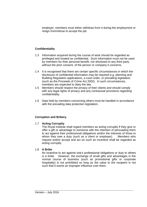employer, members must either withdraw from it during the employment or resign from/refuse to accept the job.

#### **Confidentiality**

- 1.3 Information acquired during the course of work should be regarded as privileged and treated as confidential. Such information must not be used by members for their personal benefit, nor disclosed to any third party without the prior consent, of the person or company it concerns.
- 1.4 It is recognised that there are certain specific circumstances in which the disclosure of confidential information may be required e.g. planning and Building Regulation applications, a court order, or prevailing legislation (such as the Proceeds of Crime Act 2002). In such circumstances, members are expected to obey the law.
- 1.5 Members should respect the privacy of their clients and should comply with any legal rights of privacy and any contractual provisions regarding confidentiality.
- 1.6 Data held by members concerning others must be handled in accordance with the prevailing data protection legislation.

#### **Corruption and Bribery.**

#### 1.7 **Acting Corruptly**

The Royal Institute shall regard members as acting corruptly if they give or offer a gift or advantage to someone with the intention of persuading them to act against their professional obligations and/or the interests of those to whom they owe a duty (such as a client or employer). Members who request and/or accept and act on such an incentive shall be regarded as acting corruptly.

#### 1.8 **A Bribe**

An incentive to act against one's professional obligations or duty to others is a bribe. However, the exchange of small gifts and advantages in the normal course of business (such as promotional gifts or corporate hospitality) is not prohibited so long as the value to the recipient is not such that it exerts an improper influence over them.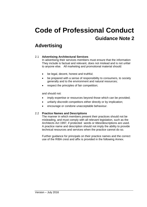### **Advertising**

#### 2.1 **Advertising Architectural Services**

In advertising their services members must ensure that the information They include is factual and relevant, does not mislead and is not unfair to anyone else. All marketing and promotional material should:

- be legal, decent, honest and truthful;
- be prepared with a sense of responsibility to consumers, to society generally and to the environment and natural resources;
- respect the principles of fair competition:

and should not:

- imply expertise or resources beyond those which can be provided;
- unfairly discredit competitors either directly or by implication;
- encourage or condone unacceptable behaviour.

#### 2.2 **Practice Names and Descriptions**

The manner in which members present their practices should not be misleading, and must comply with all relevant legislation, such as the Architects Act 1997, if protected words or titles/descriptions are used. A practice name and description should not imply the ability to provide technical resources and services when the practice cannot do so.

Further guidance for principals on their practice names and the correct use of the RIBA crest and affix is provided in the following Annex.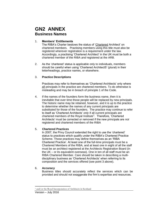### **GN2 ANNEX Business Names**

#### 1. **Members' Entitlements**

The RIBA's Charter bestows the status of 'Chartered Architect' on chartered members. Practising members using this title must also be registered wherever registration is a requirement under the law. Accordingly, a practising 'Chartered Architect' in the UK must be both a chartered member of the RIBA *and* registered at the ARB.

2. As the 'chartered' status is applicable only to individuals, members should be careful when using 'Chartered ArchitectS' (plural) in their letterheadings, practice names, or elsewhere.

#### 3. **Practice Descriptions**

Practices may refer to themselves as 'Chartered Architects' only where all principals in the practice are chartered members. To do otherwise is misleading and may be in breach of principle 1 of the Code.

4. If the names of the founders form the business name, then it is inevitable that over time those people will be replaced by new principals. The historic name may be retained, however, and it is up to the practice to determine whether the names of any current principals are substituted for those of the founders. The practice may continue to refer to itself as 'Chartered Architects' *only* if all current principals are chartered members of the Royal Institute<sup>1</sup>. Therefore, 'Chartered Architects' must be corrected or removed if the new principals are *not* registered and chartered members of the RIBA

#### 5. **Chartered Practices**

In 2007, the Privy Council extended the right to use the 'chartered' status to practices which qualify under the RIBA's Chartered Practice Scheme. Those practices may define themselves as an 'RIBA Chartered Practice'. At least one of the full-time principals must be a Chartered Members of the RIBA, and at least one in eight of all the staff must be an architect registered at the Architects Registration Board (in the UK – or its equivalent overseas). One in ten of all staff must be an RIBA Chartered Member. Care should be taken in describing a multidisciplinary business as 'Chartered Architects' when referring to its composition and the services offered (see point 3 above).

#### 6. **Accuracy**

Business titles should accurately reflect the services which can be provided and should not exaggerate the firm's expertise and resources.

**<sup>.</sup>** <sup>1</sup> and/or the Royal Incorporation of Architects in Scotland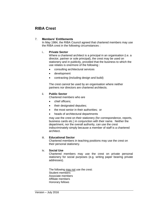### **RIBA Crest**

#### 7. **Members' Entitlements**

In May 1984, the RIBA Council agreed that chartered members may use the RIBA crest in the following circumstances :

#### i.. **Private Sector**

Where a chartered architect is a principal in an organisation (i.e. a director, partner or sole principal), the crest may be used on stationery and in publicity, provided that the business to which the use relates is one/more of the following :

- consulting architectural services
- development
- contracting (including design and build)

The crest can*not* be used by an organisation where neither partners nor directors are chartered architects.

#### ii. **Public Sector**

Chartered members who are

- chief officers:
- their designated deputies;
- the most senior in their authorities: or
- heads of architectural departments

may use the crest on their stationery (for correspondence, reports, business cards etc.) in conjunction with their name. Neither the department, nor the overall authority, can use the crest indiscriminately simply because a member of staff is a chartered architect.

#### iii. **Educational Sector**

Chartered members in teaching positions may use the crest on their personal stationery.

#### iv. **Social Use**

Chartered members may use the crest on private personal stationery for social purposes (e.g. writing paper bearing private addresses).

The following may not use the crest: Student members Associate members Affiliate members Honorary fellows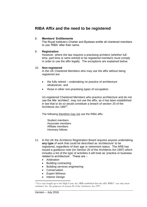#### **RIBA Affix and the need to be registered**

#### 8. **Members' Entitlements**

The Royal Institute's Charter and Byelaws entitle all chartered members to use 'RIBA' after their name.

#### 9. **Registration**

However, where the law requires a practising architect (whether fulltime, part-time or semi-retired) to be registered members must comply in order to use the affix legally. The exceptions are explained below.

#### 10. **Non-registered**

In the UK Chartered Members who may use the affix without being registered are:

- $\bullet$  the fully retired undertaking no practice of architecture whatsoever, and
- those in other non-practising types of occupation.

Un-registered Chartered Members who practice architecture and do not use the title 'architect', may *not* use the affix, as it has been established in law that to do so would constitute a breach of section 20 of the Architects Act 1997<sup>2</sup>.

The following therefore may not use the RIBA affix:

Student members Associate members Affiliate members Honorary fellows

- 11. In the UK the Architects Registration Board requires anyone undertaking **any type** of work that could be described as 'architecture' to be registered, regardless of their age or retirement status. The ARB has issued a guidance note (on Section 20 of the Architects Act 1997) which includes a list of the type of activities it will treat as 'practice or business related to architecture'. These are :-
	- Arbitration
	- Building contracting
	- Building services engineering
	- Conservation
	- Expert Witness
	- Interior Design

<sup>1</sup> <sup>2</sup> Via a case fought up to the High Court, the ARB established that the affix 'RIBA' can only mean 'architect' for the purposes of section 20 of the Architects Act 1997.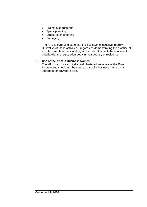- Project Management
- Space planning
- Structural engineering
- Surveying

The ARB is careful to state that this list is *not* exhaustive, merely illustrative of those activities it regards as demonstrating the practice of architecture. Members working abroad should check the equivalent criteria with the registration body in their country of residence.

#### 12. **Use of the Affix in Business Names**

The affix is exclusive to individual chartered members of the Royal Institute and should not be used as part of a business name on its letterhead or anywhere else.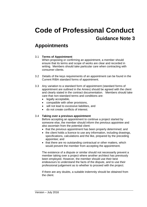### **Appointments**

#### 3.1 **Terms of Appointment**

When proposing or confirming an appointment, a member should ensure that its terms and scope of works are clear and recorded in writing. Members should take particular care when contracting with consumer clients.

- 3.2 Details of the keys requirements of an appointment can be found in the Current RIBA standard forms of appointment.
- 3.3 Any variation to a standard form of appointment (standard forms of appointment are outlined in the Annex) should be agreed with the client and clearly stated in the contract documentation. Members should take care that non-standard terms and conditions are:
	- legally acceptable.
	- compatible with other provisions,
	- will not lead to excessive liabilities, and
	- do not create conflicts of interest.

#### 3.4 **Taking over a previous appointment**

Before accepting an appointment to continue a project started by someone else, the member should inform the previous appointee and also ascertain from the potential client:

- that the previous appointment has been properly determined; and
- the client holds a licence to use any information, including drawings, specifications, calculations and the like, prepared by the preceding appointee; and
- that there are no outstanding contractual or other matters, which would prevent the member from accepting the appointment.

The existence of a dispute or similar should not necessarily prevent a member taking over a project where another architect has previously been employed. However, the member should use their best endeavours to understand the facts of the dispute, and to use their professional judgement as to whether to proceed with the project.

If there are any doubts, a suitable indemnity should be obtained from the client.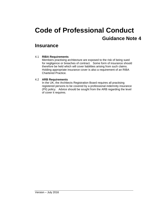### **Insurance**

#### 4.1 **RIBA Requirements**

Members practising architecture are exposed to the risk of being sued for negligence or breaches of contract. Some form of insurance should therefore be held which will cover liabilities arising from such claims. Holding appropriate insurance cover is also a requirement of an RIBA Chartered Practice.

#### 4.2 **ARB Requirements**

In the UK, the Architects Registration Board requires all practising registered persons to be covered by a professional indemnity insurance (PII) policy. Advice should be sought from the ARB regarding the level of cover it requires.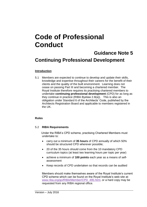## **Code of Professional Conduct**

### **Guidance Note 5 Continuing Professional Development**

#### **Introduction**

5.1 Members are expected to continue to develop and update their skills, knowledge and expertise throughout their careers for the benefit of their clients and the quality of the built environment. Learning does not cease on passing Part III and becoming a chartered member. The Royal Institute therefore requires its practising chartered members to undertake **continuing professional development** (CPD) for as long as they continue in practice (RIBA Byelaw 2.8(a)). This is also an obligation under Standard 6 of the Architects' Code, published by the Architects Registration Board and applicable to members registered in the UK.

#### **Rules**

#### 5.2 **RIBA Requirements**

 Under the RIBA's CPD scheme, practising Chartered Members must undertake to:

- carry out a minimum of **35 hours** of CPD annually of which 50% should be structured CPD wherever possible;
- 20 of the 35 hours should come from the 10 mandatory CPD curriculum topics (at least two learning hours per topic per year)
- achieve a minimum of **100 points** each year as a means of selfassessment
- Keep records of CPD undertaken so that records can be audited

Members should make themselves aware of the Royal Institute's current CPD scheme which can be found on the Royal Institute's web-site at: [www.riba.org/go/RIBA/Member/CPD\\_495.html,](http://www.riba.org/go/RIBA/Member/CPD_495.html) or a hard copy may be requested from any RIBA regional office.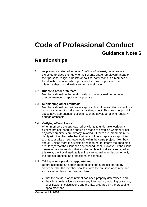### **Relationships**

6.1 As previously referred to under Conflicts of Interest, members are expected to place their duty to their clients and/or employers ahead of their personal religious beliefs or political convictions. If a member is faced with a situation which presents them with a personal moral dilemma, they should withdraw from the situation.

#### 6.2 **Duties to other architects**

Members should neither maliciously nor unfairly seek to damage another member's reputation or practice.

#### 6.3 **Supplanting other architects**

Members should not deliberately approach another architect's client in a conscious attempt to take over an active project. This does not prohibit speculative approaches to clients (such as developers) who regularly engage architects.

#### 6.4 **Verifying offers of work**

When members are approached by clients to undertake work on an existing project, enquiries should be made to establish whether or not any other architects are already involved. If there are, members must clarify with the client whether their role will be to replace an appointed architect or take on separate work within the same project. Members should, unless there is a justifiable reason not to, inform the appointed architect(s) that the client has approached them. However, if the client denies or fails to mention that another architect is already engaged for this work, the Royal Institute is unlikely to regard an omission to notify the original architect as professional misconduct.

#### 6.5 **Taking over a previous appointment**

Before accepting an appointment to continue a project started by someone else, the member should inform the previous appointee and also ascertain from the potential client:

- that the previous appointment has been properly determined; and
- the client holds a licence to use any information, including drawings, specifications, calculations and the like, prepared by the preceding appointee; and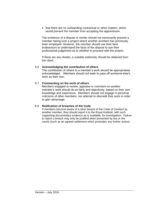• that there are no outstanding contractual or other matters, which would prevent the member from accepting the appointment.

The existence of a dispute or similar should not necessarily prevent a member taking over a project where another architect has previously been employed. However, the member should use their best endeavours to understand the facts of the dispute to use their professional judgement as to whether to proceed with the project.

If there are any doubts, a suitable indemnity should be obtained from the client.

#### 6.6 **Acknowledging the contribution of others**

The contribution of others to a member's work should be appropriately acknowledged. Members should not seek to pass off someone else's work as their own.

#### 6.7 **Commenting on the work of others**

Members engaged to review, appraise or comment on another member's work should do so fairly and objectively, based on their own knowledge and experience. Members should not engage in personal criticisms of other members, nor attempt to discredit their work in order to gain advantage.

#### 6.8 **Notification of breaches of the Code**

If members become aware of a clear breach of the Code of Conduct by another member, they should report it to the Royal Institute, with such supporting documentary evidence as is available, for investigation. Failure to report a breach may only be justified when prevented by law or the courts (such as an agreed settlement which precludes any further action).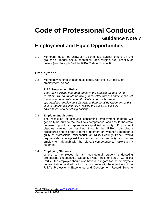## **Code of Professional Conduct Guidance Note 7 Employment and Equal Opportunities**

7.1 Members must not unlawfully discriminate against others on the grounds of gender, sexual orientation, race, religion, age, disability or culture (see Principle 3 of the RIBA Code of Conduct).

#### **Employment**

7.2 Members who employ staff must comply with the RIBA policy on employment, below:

#### **RIBA Employment Policy**

*The RIBA believes that good employment practice, by and for its members, will contribute positively to the effectiveness and influence of the architectural profession. It will also improve business opportunities, employment diversity and personal development, and is vital to the profession's role in raising the quality of our built environment and benefiting society.*

#### 7.3 **Employment disputes**

The resolution of disputes concerning employment matters will generally be outside the Institute's competence, and should therefore be taken up with an appropriately qualified authority. Employment disputes cannot be resolved through the RIBA's disciplinary procedures and in order to form a judgment on whether a member is guilty of professional misconduct, an RIBA Hearings Panel would require a decision against the member from an authority (such as an employment tribunal) with the relevant competence to make such a judgment.

#### 7.4 **Employing Students**

Where an employee is an architectural student undertaking professional experience at Stage 1, (Post Part 1) or Stage Two, (Post Part 2), the employer should also have due regard for the employee's general training and education in accordance with the objectives of the RIBA's Professional Experience and Development Record Scheme  $($ PEDR $)^3$ .

 $\overline{\phantom{a}}$ 

<sup>&</sup>lt;sup>3</sup> The PEDR-is published on **[www.pedr.co.uk](http://www.pedr.co.uk/)**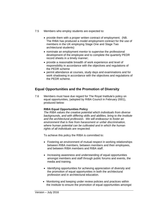- 7.5 Members who employ students are expected to:
	- provide them with a proper written contract of employment; (NB. The RIBA has produced a model employment contract for the use of members in the UK employing Stage One and Stage Two architectural students)
	- nominate an employment mentor to supervise the professional development of the employee and to complete the quarterly PEDR record sheets in a timely manner;
	- provide a reasonable breadth of work experience and level of responsibility in accordance with the objectives and regulations of the PEDR scheme
	- permit attendance at courses, study days and examinations and for work shadowing in accordance with the objectives and regulations of the PEDR scheme.

#### **Equal Opportunities and the Promotion of Diversity**

7.6 Members must have due regard for The Royal Institute's policy on equal opportunities, (adopted by RIBA Council in February 2001), produced below:

#### **RIBA Equal Opportunities Policy**

*The RIBA values the creative potential which individuals from diverse backgrounds, and with differing skills and abilities, bring to the Institute and the architectural profession. We will endeavour to foster an environment that is free from harassment or unfair discrimination, where human potential can be cultivated and in which the human rights of all individuals are respected.*

To achieve this policy the RIBA is committed to:

- Fostering an environment of mutual respect in working relationships between RIBA members, between members and their employees, and between RIBA members and RIBA staff.
- Increasing awareness and understanding of equal opportunities amongst members and staff through public forums and events, the media and training.
- Identifying opportunities for achieving appreciation of diversity and the promotion of equal opportunities in both the architectural profession and in architectural education.
- Monitoring and keeping under review policies and practices within the Institute to ensure the promotion of equal opportunities amongst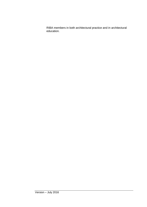RIBA members in both architectural practice and in architectural education.